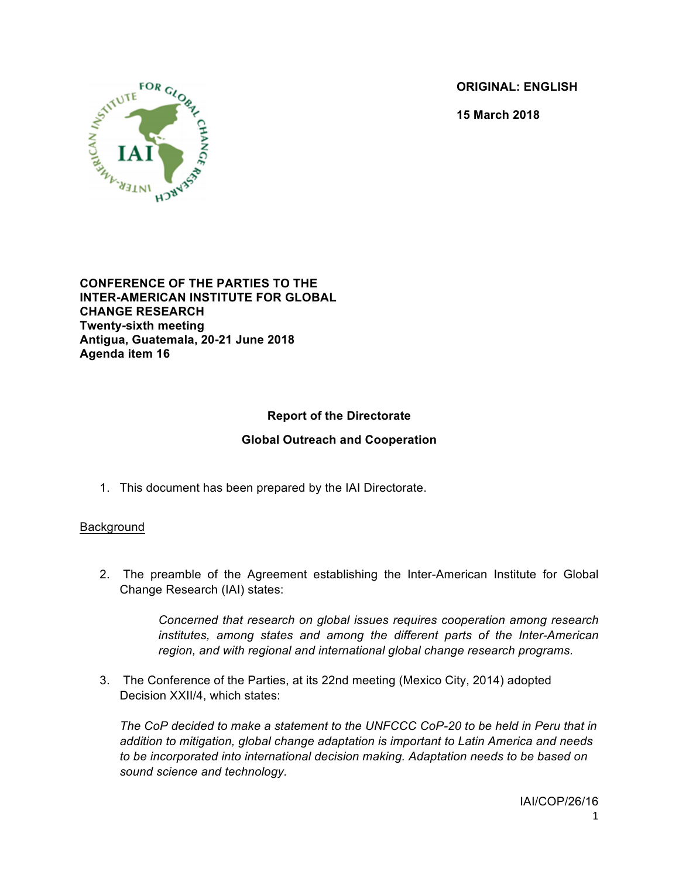**ORIGINAL: ENGLISH**

**15 March 2018**



**CONFERENCE OF THE PARTIES TO THE INTER-AMERICAN INSTITUTE FOR GLOBAL CHANGE RESEARCH Twenty-sixth meeting Antigua, Guatemala, 20-21 June 2018 Agenda item 16**

# **Report of the Directorate**

### **Global Outreach and Cooperation**

1. This document has been prepared by the IAI Directorate.

#### Background

2. The preamble of the Agreement establishing the Inter-American Institute for Global Change Research (IAI) states:

> *Concerned that research on global issues requires cooperation among research institutes, among states and among the different parts of the Inter-American region, and with regional and international global change research programs.*

3. The Conference of the Parties, at its 22nd meeting (Mexico City, 2014) adopted Decision XXII/4, which states:

The CoP decided to make a statement to the UNFCCC CoP-20 to be held in Peru that in *addition to mitigation, global change adaptation is important to Latin America and needs to be incorporated into international decision making. Adaptation needs to be based on sound science and technology.*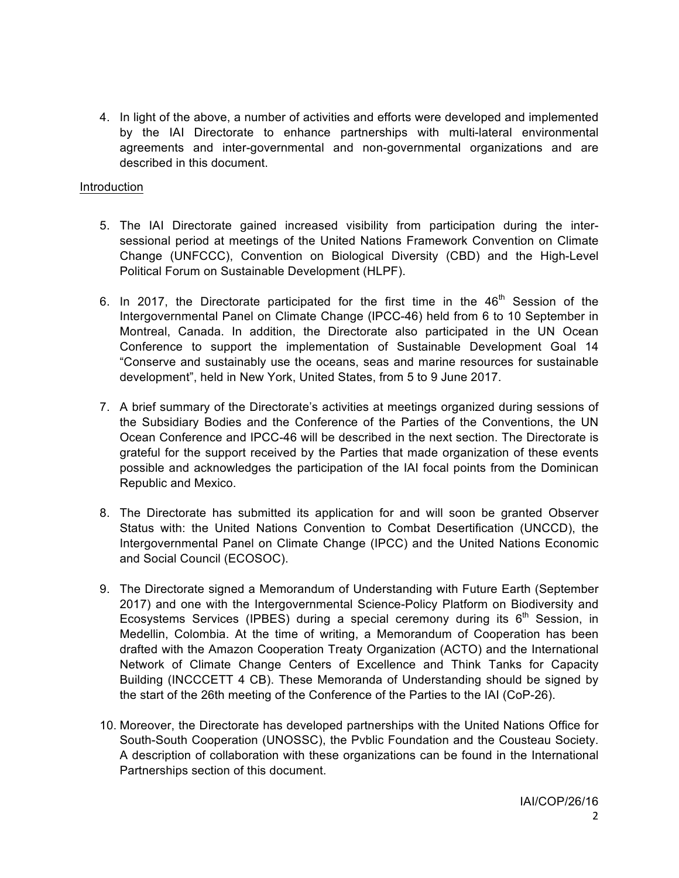4. In light of the above, a number of activities and efforts were developed and implemented by the IAI Directorate to enhance partnerships with multi-lateral environmental agreements and inter-governmental and non-governmental organizations and are described in this document.

#### Introduction

- 5. The IAI Directorate gained increased visibility from participation during the intersessional period at meetings of the United Nations Framework Convention on Climate Change (UNFCCC), Convention on Biological Diversity (CBD) and the High-Level Political Forum on Sustainable Development (HLPF).
- 6. In 2017, the Directorate participated for the first time in the  $46<sup>th</sup>$  Session of the Intergovernmental Panel on Climate Change (IPCC-46) held from 6 to 10 September in Montreal, Canada. In addition, the Directorate also participated in the UN Ocean Conference to support the implementation of Sustainable Development Goal 14 "Conserve and sustainably use the oceans, seas and marine resources for sustainable development", held in New York, United States, from 5 to 9 June 2017.
- 7. A brief summary of the Directorate's activities at meetings organized during sessions of the Subsidiary Bodies and the Conference of the Parties of the Conventions, the UN Ocean Conference and IPCC-46 will be described in the next section. The Directorate is grateful for the support received by the Parties that made organization of these events possible and acknowledges the participation of the IAI focal points from the Dominican Republic and Mexico.
- 8. The Directorate has submitted its application for and will soon be granted Observer Status with: the United Nations Convention to Combat Desertification (UNCCD), the Intergovernmental Panel on Climate Change (IPCC) and the United Nations Economic and Social Council (ECOSOC).
- 9. The Directorate signed a Memorandum of Understanding with Future Earth (September 2017) and one with the Intergovernmental Science-Policy Platform on Biodiversity and Ecosystems Services (IPBES) during a special ceremony during its  $6<sup>th</sup>$  Session, in Medellin, Colombia. At the time of writing, a Memorandum of Cooperation has been drafted with the Amazon Cooperation Treaty Organization (ACTO) and the International Network of Climate Change Centers of Excellence and Think Tanks for Capacity Building (INCCCETT 4 CB). These Memoranda of Understanding should be signed by the start of the 26th meeting of the Conference of the Parties to the IAI (CoP-26).
- 10. Moreover, the Directorate has developed partnerships with the United Nations Office for South-South Cooperation (UNOSSC), the Pvblic Foundation and the Cousteau Society. A description of collaboration with these organizations can be found in the International Partnerships section of this document.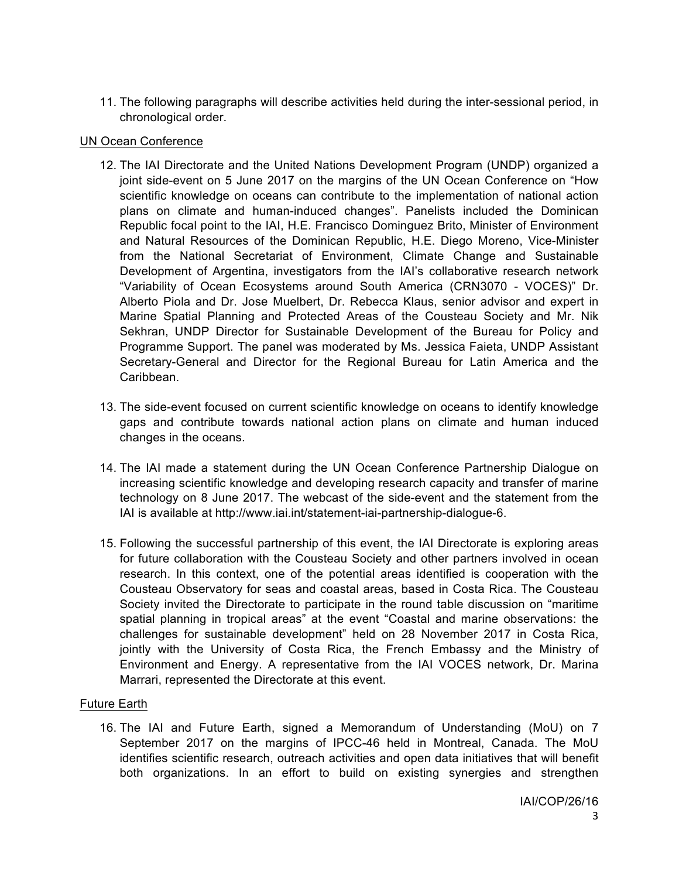11. The following paragraphs will describe activities held during the inter-sessional period, in chronological order.

#### UN Ocean Conference

- 12. The IAI Directorate and the United Nations Development Program (UNDP) organized a joint side-event on 5 June 2017 on the margins of the UN Ocean Conference on "How scientific knowledge on oceans can contribute to the implementation of national action plans on climate and human-induced changes". Panelists included the Dominican Republic focal point to the IAI, H.E. Francisco Dominguez Brito, Minister of Environment and Natural Resources of the Dominican Republic, H.E. Diego Moreno, Vice-Minister from the National Secretariat of Environment, Climate Change and Sustainable Development of Argentina, investigators from the IAI's collaborative research network "Variability of Ocean Ecosystems around South America (CRN3070 - VOCES)" Dr. Alberto Piola and Dr. Jose Muelbert, Dr. Rebecca Klaus, senior advisor and expert in Marine Spatial Planning and Protected Areas of the Cousteau Society and Mr. Nik Sekhran, UNDP Director for Sustainable Development of the Bureau for Policy and Programme Support. The panel was moderated by Ms. Jessica Faieta, UNDP Assistant Secretary-General and Director for the Regional Bureau for Latin America and the Caribbean.
- 13. The side-event focused on current scientific knowledge on oceans to identify knowledge gaps and contribute towards national action plans on climate and human induced changes in the oceans.
- 14. The IAI made a statement during the UN Ocean Conference Partnership Dialogue on increasing scientific knowledge and developing research capacity and transfer of marine technology on 8 June 2017. The webcast of the side-event and the statement from the IAI is available at http://www.iai.int/statement-iai-partnership-dialogue-6.
- 15. Following the successful partnership of this event, the IAI Directorate is exploring areas for future collaboration with the Cousteau Society and other partners involved in ocean research. In this context, one of the potential areas identified is cooperation with the Cousteau Observatory for seas and coastal areas, based in Costa Rica. The Cousteau Society invited the Directorate to participate in the round table discussion on "maritime spatial planning in tropical areas" at the event "Coastal and marine observations: the challenges for sustainable development" held on 28 November 2017 in Costa Rica, jointly with the University of Costa Rica, the French Embassy and the Ministry of Environment and Energy. A representative from the IAI VOCES network, Dr. Marina Marrari, represented the Directorate at this event.

## Future Earth

16. The IAI and Future Earth, signed a Memorandum of Understanding (MoU) on 7 September 2017 on the margins of IPCC-46 held in Montreal, Canada. The MoU identifies scientific research, outreach activities and open data initiatives that will benefit both organizations. In an effort to build on existing synergies and strengthen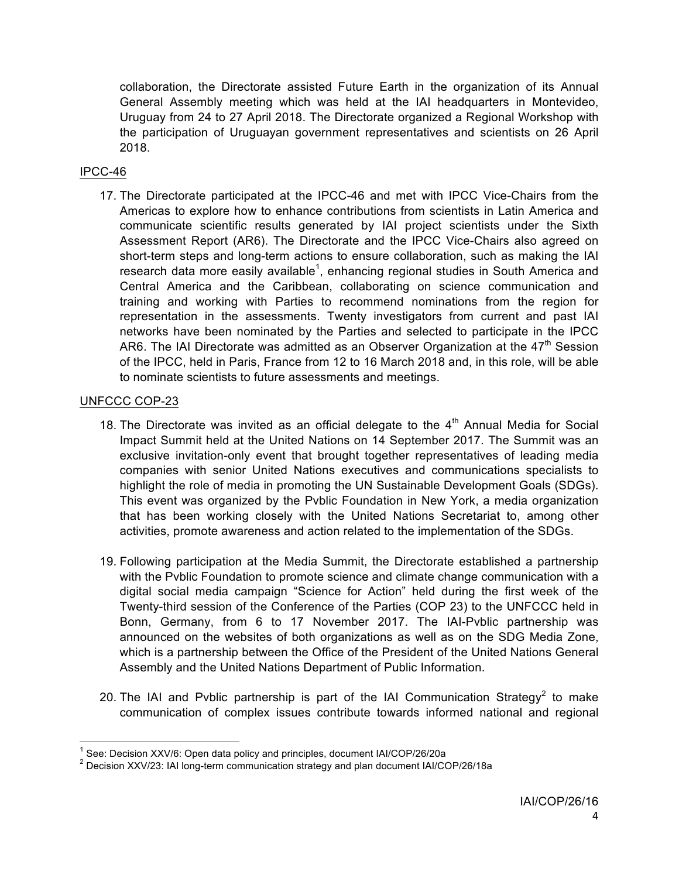collaboration, the Directorate assisted Future Earth in the organization of its Annual General Assembly meeting which was held at the IAI headquarters in Montevideo, Uruguay from 24 to 27 April 2018. The Directorate organized a Regional Workshop with the participation of Uruguayan government representatives and scientists on 26 April 2018.

### IPCC-46

17. The Directorate participated at the IPCC-46 and met with IPCC Vice-Chairs from the Americas to explore how to enhance contributions from scientists in Latin America and communicate scientific results generated by IAI project scientists under the Sixth Assessment Report (AR6). The Directorate and the IPCC Vice-Chairs also agreed on short-term steps and long-term actions to ensure collaboration, such as making the IAI research data more easily available<sup>1</sup>, enhancing regional studies in South America and Central America and the Caribbean, collaborating on science communication and training and working with Parties to recommend nominations from the region for representation in the assessments. Twenty investigators from current and past IAI networks have been nominated by the Parties and selected to participate in the IPCC AR6. The IAI Directorate was admitted as an Observer Organization at the 47<sup>th</sup> Session of the IPCC, held in Paris, France from 12 to 16 March 2018 and, in this role, will be able to nominate scientists to future assessments and meetings.

### UNFCCC COP-23

- 18. The Directorate was invited as an official delegate to the  $4<sup>th</sup>$  Annual Media for Social Impact Summit held at the United Nations on 14 September 2017. The Summit was an exclusive invitation-only event that brought together representatives of leading media companies with senior United Nations executives and communications specialists to highlight the role of media in promoting the UN Sustainable Development Goals (SDGs). This event was organized by the Pvblic Foundation in New York, a media organization that has been working closely with the United Nations Secretariat to, among other activities, promote awareness and action related to the implementation of the SDGs.
- 19. Following participation at the Media Summit, the Directorate established a partnership with the Pvblic Foundation to promote science and climate change communication with a digital social media campaign "Science for Action" held during the first week of the Twenty-third session of the Conference of the Parties (COP 23) to the UNFCCC held in Bonn, Germany, from 6 to 17 November 2017. The IAI-Pvblic partnership was announced on the websites of both organizations as well as on the SDG Media Zone, which is a partnership between the Office of the President of the United Nations General Assembly and the United Nations Department of Public Information.
- 20. The IAI and Pvblic partnership is part of the IAI Communication Strategy<sup>2</sup> to make communication of complex issues contribute towards informed national and regional

<sup>&</sup>lt;sup>1</sup> See: Decision XXV/6: Open data policy and principles, document IAI/COP/26/20a

<sup>2</sup> Decision XXV/23: IAI long-term communication strategy and plan document IAI/COP/26/18a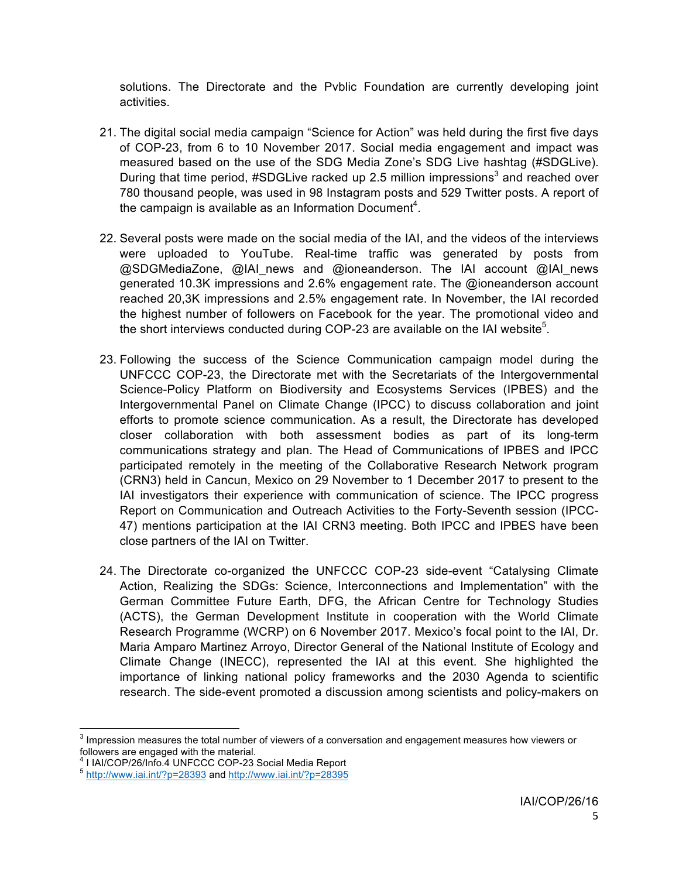solutions. The Directorate and the Pvblic Foundation are currently developing joint activities.

- 21. The digital social media campaign "Science for Action" was held during the first five days of COP-23, from 6 to 10 November 2017. Social media engagement and impact was measured based on the use of the SDG Media Zone's SDG Live hashtag (#SDGLive). During that time period,  $\#$ SDGLive racked up 2.5 million impressions<sup>3</sup> and reached over 780 thousand people, was used in 98 Instagram posts and 529 Twitter posts. A report of the campaign is available as an Information Document<sup>4</sup>.
- 22. Several posts were made on the social media of the IAI, and the videos of the interviews were uploaded to YouTube. Real-time traffic was generated by posts from @SDGMediaZone, @IAI news and @ioneanderson. The IAI account @IAI news generated 10.3K impressions and 2.6% engagement rate. The @ioneanderson account reached 20,3K impressions and 2.5% engagement rate. In November, the IAI recorded the highest number of followers on Facebook for the year. The promotional video and the short interviews conducted during COP-23 are available on the IAI website<sup>5</sup>.
- 23. Following the success of the Science Communication campaign model during the UNFCCC COP-23, the Directorate met with the Secretariats of the Intergovernmental Science-Policy Platform on Biodiversity and Ecosystems Services (IPBES) and the Intergovernmental Panel on Climate Change (IPCC) to discuss collaboration and joint efforts to promote science communication. As a result, the Directorate has developed closer collaboration with both assessment bodies as part of its long-term communications strategy and plan. The Head of Communications of IPBES and IPCC participated remotely in the meeting of the Collaborative Research Network program (CRN3) held in Cancun, Mexico on 29 November to 1 December 2017 to present to the IAI investigators their experience with communication of science. The IPCC progress Report on Communication and Outreach Activities to the Forty-Seventh session (IPCC-47) mentions participation at the IAI CRN3 meeting. Both IPCC and IPBES have been close partners of the IAI on Twitter.
- 24. The Directorate co-organized the UNFCCC COP-23 side-event "Catalysing Climate Action, Realizing the SDGs: Science, Interconnections and Implementation" with the German Committee Future Earth, DFG, the African Centre for Technology Studies (ACTS), the German Development Institute in cooperation with the World Climate Research Programme (WCRP) on 6 November 2017. Mexico's focal point to the IAI, Dr. Maria Amparo Martinez Arroyo, Director General of the National Institute of Ecology and Climate Change (INECC), represented the IAI at this event. She highlighted the importance of linking national policy frameworks and the 2030 Agenda to scientific research. The side-event promoted a discussion among scientists and policy-makers on

 $3$  Impression measures the total number of viewers of a conversation and engagement measures how viewers or followers are engaged with the material.<br><sup>4</sup> I IAI/COP/26/Info.4 UNFCCC COP-23 Social Media Report

 $<sup>5</sup>$  http://www.iai.int/?p=28393 and http://www.iai.int/?p=28395</sup>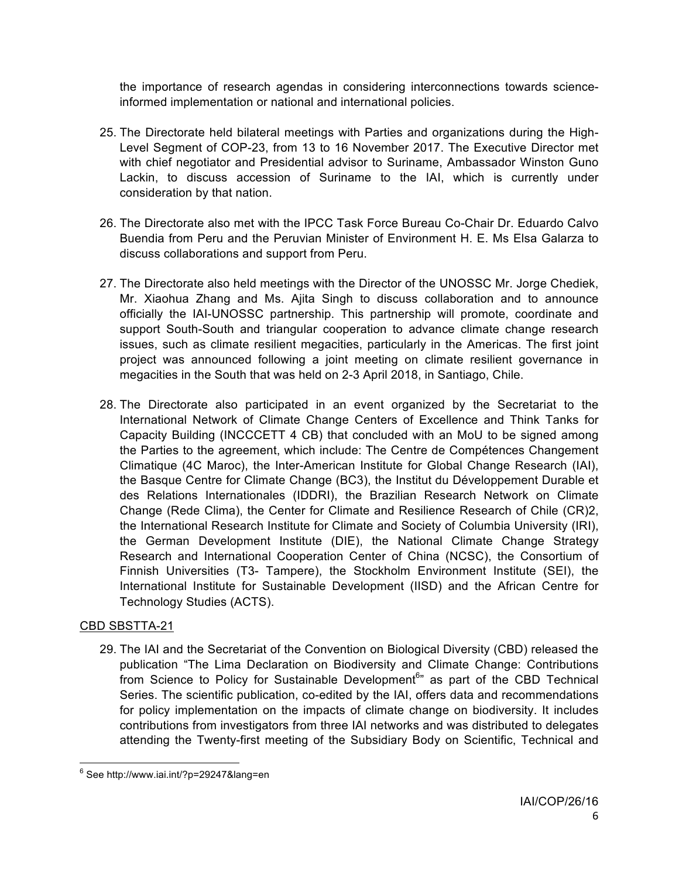the importance of research agendas in considering interconnections towards scienceinformed implementation or national and international policies.

- 25. The Directorate held bilateral meetings with Parties and organizations during the High-Level Segment of COP-23, from 13 to 16 November 2017. The Executive Director met with chief negotiator and Presidential advisor to Suriname, Ambassador Winston Guno Lackin, to discuss accession of Suriname to the IAI, which is currently under consideration by that nation.
- 26. The Directorate also met with the IPCC Task Force Bureau Co-Chair Dr. Eduardo Calvo Buendia from Peru and the Peruvian Minister of Environment H. E. Ms Elsa Galarza to discuss collaborations and support from Peru.
- 27. The Directorate also held meetings with the Director of the UNOSSC Mr. Jorge Chediek, Mr. Xiaohua Zhang and Ms. Ajita Singh to discuss collaboration and to announce officially the IAI-UNOSSC partnership. This partnership will promote, coordinate and support South-South and triangular cooperation to advance climate change research issues, such as climate resilient megacities, particularly in the Americas. The first joint project was announced following a joint meeting on climate resilient governance in megacities in the South that was held on 2-3 April 2018, in Santiago, Chile.
- 28. The Directorate also participated in an event organized by the Secretariat to the International Network of Climate Change Centers of Excellence and Think Tanks for Capacity Building (INCCCETT 4 CB) that concluded with an MoU to be signed among the Parties to the agreement, which include: The Centre de Compétences Changement Climatique (4C Maroc), the Inter-American Institute for Global Change Research (IAI), the Basque Centre for Climate Change (BC3), the Institut du Développement Durable et des Relations Internationales (IDDRI), the Brazilian Research Network on Climate Change (Rede Clima), the Center for Climate and Resilience Research of Chile (CR)2, the International Research Institute for Climate and Society of Columbia University (IRI), the German Development Institute (DIE), the National Climate Change Strategy Research and International Cooperation Center of China (NCSC), the Consortium of Finnish Universities (T3- Tampere), the Stockholm Environment Institute (SEI), the International Institute for Sustainable Development (IISD) and the African Centre for Technology Studies (ACTS).

## CBD SBSTTA-21

29. The IAI and the Secretariat of the Convention on Biological Diversity (CBD) released the publication "The Lima Declaration on Biodiversity and Climate Change: Contributions from Science to Policy for Sustainable Development<sup>6</sup>" as part of the CBD Technical Series. The scientific publication, co-edited by the IAI, offers data and recommendations for policy implementation on the impacts of climate change on biodiversity. It includes contributions from investigators from three IAI networks and was distributed to delegates attending the Twenty-first meeting of the Subsidiary Body on Scientific, Technical and

 <sup>6</sup> See http://www.iai.int/?p=29247&lang=en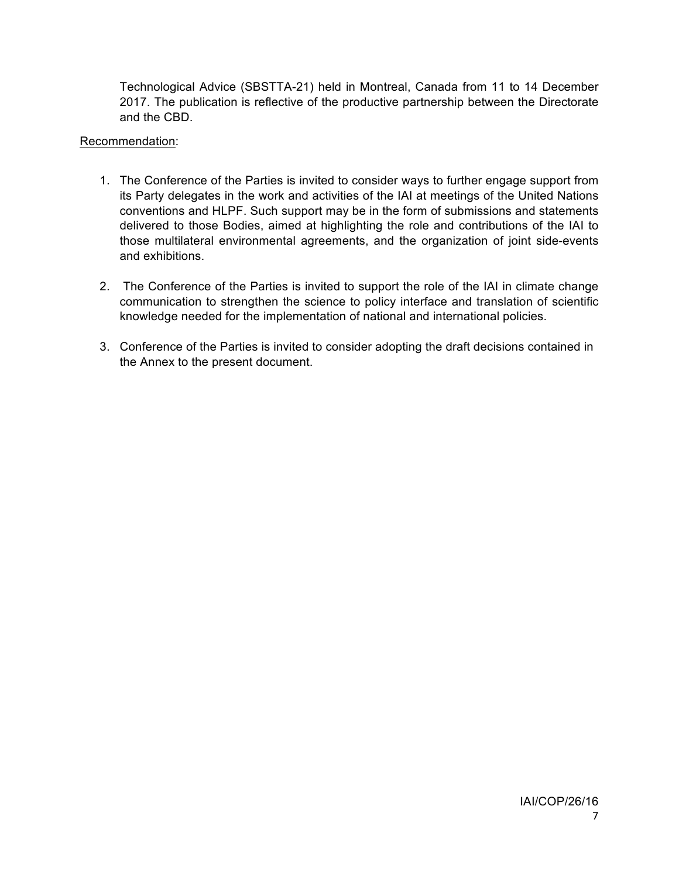Technological Advice (SBSTTA-21) held in Montreal, Canada from 11 to 14 December 2017. The publication is reflective of the productive partnership between the Directorate and the CBD.

### Recommendation:

- 1. The Conference of the Parties is invited to consider ways to further engage support from its Party delegates in the work and activities of the IAI at meetings of the United Nations conventions and HLPF. Such support may be in the form of submissions and statements delivered to those Bodies, aimed at highlighting the role and contributions of the IAI to those multilateral environmental agreements, and the organization of joint side-events and exhibitions.
- 2. The Conference of the Parties is invited to support the role of the IAI in climate change communication to strengthen the science to policy interface and translation of scientific knowledge needed for the implementation of national and international policies.
- 3. Conference of the Parties is invited to consider adopting the draft decisions contained in the Annex to the present document.